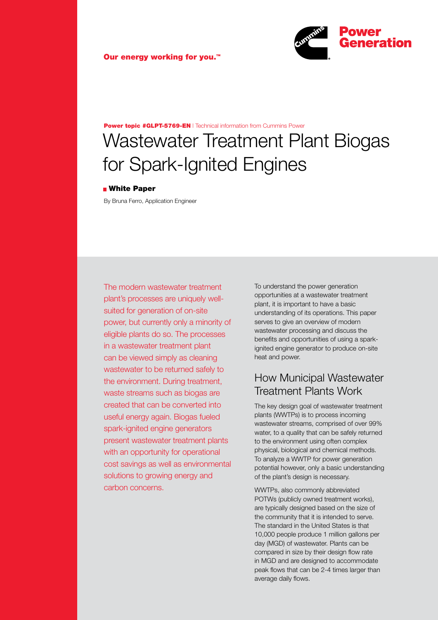

# Wastewater Treatment Plant Biogas for Spark-Ignited Engines Power topic #GLPT-5769-EN | Technical information from Cummins Power

#### **Nhite Paper**

By Bruna Ferro, Application Engineer

The modern wastewater treatment plant's processes are uniquely wellsuited for generation of on-site power, but currently only a minority of eligible plants do so. The processes in a wastewater treatment plant can be viewed simply as cleaning wastewater to be returned safely to the environment. During treatment, waste streams such as biogas are created that can be converted into useful energy again. Biogas fueled spark-ignited engine generators present wastewater treatment plants with an opportunity for operational cost savings as well as environmental solutions to growing energy and carbon concerns.

To understand the power generation opportunities at a wastewater treatment plant, it is important to have a basic understanding of its operations. This paper serves to give an overview of modern wastewater processing and discuss the benefits and opportunities of using a sparkignited engine generator to produce on-site heat and power.

### How Municipal Wastewater Treatment Plants Work

The key design goal of wastewater treatment plants (WWTPs) is to process incoming wastewater streams, comprised of over 99% water, to a quality that can be safely returned to the environment using often complex physical, biological and chemical methods. To analyze a WWTP for power generation potential however, only a basic understanding of the plant's design is necessary.

WWTPs, also commonly abbreviated POTWs (publicly owned treatment works), are typically designed based on the size of the community that it is intended to serve. The standard in the United States is that 10,000 people produce 1 million gallons per day (MGD) of wastewater. Plants can be compared in size by their design flow rate in MGD and are designed to accommodate peak flows that can be 2-4 times larger than average daily flows.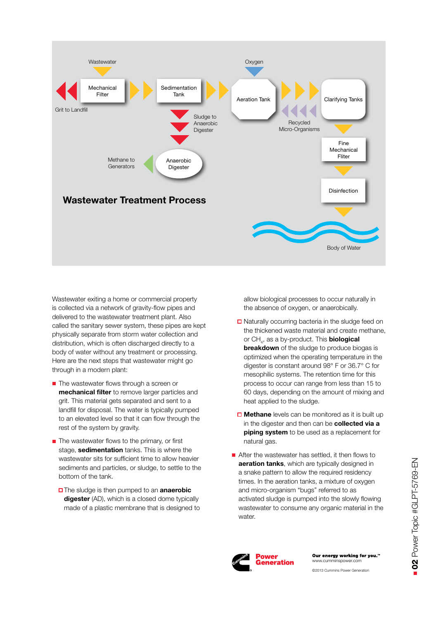

Wastewater exiting a home or commercial property is collected via a network of gravity-flow pipes and delivered to the wastewater treatment plant. Also called the sanitary sewer system, these pipes are kept physically separate from storm water collection and distribution, which is often discharged directly to a body of water without any treatment or processing. Here are the next steps that wastewater might go through in a modern plant:

- $\blacksquare$  The wastewater flows through a screen or **mechanical filter** to remove larger particles and grit. This material gets separated and sent to a landfill for disposal. The water is typically pumped to an elevated level so that it can flow through the rest of the system by gravity.
- $\blacksquare$  The wastewater flows to the primary, or first stage, **sedimentation** tanks. This is where the wastewater sits for sufficient time to allow heavier sediments and particles, or sludge, to settle to the bottom of the tank.
	- The sludge is then pumped to an **anaerobic digester** (AD), which is a closed dome typically made of a plastic membrane that is designed to

allow biological processes to occur naturally in the absence of oxygen, or anaerobically.

- **□** Naturally occurring bacteria in the sludge feed on the thickened waste material and create methane, or CH<sub>4</sub>, as a by-product. This **biological breakdown** of the sludge to produce biogas is optimized when the operating temperature in the digester is constant around 98° F or 36.7° C for mesophilic systems. The retention time for this process to occur can range from less than 15 to 60 days, depending on the amount of mixing and heat applied to the sludge.
- Methane levels can be monitored as it is built up in the digester and then can be **collected via a piping system** to be used as a replacement for natural gas.
- After the wastewater has settled, it then flows to **aeration tanks**, which are typically designed in a snake pattern to allow the required residency times. In the aeration tanks, a mixture of oxygen and micro-organism "bugs" referred to as activated sludge is pumped into the slowly flowing wastewater to consume any organic material in the water.



Our energy working for you.<sup>™</sup> www.cumminspower.com

©2013 Cummins Power Generation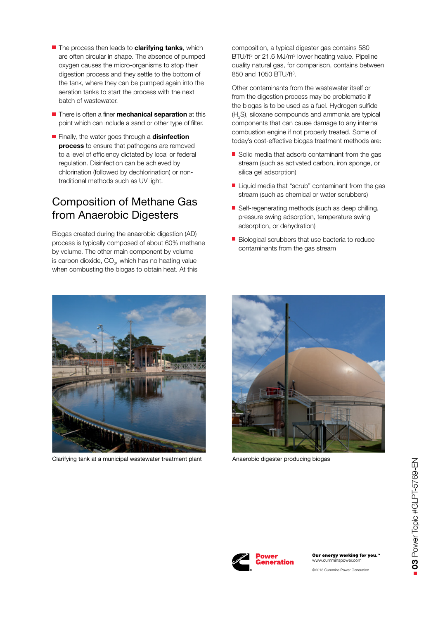- **The process then leads to clarifying tanks**, which are often circular in shape. The absence of pumped oxygen causes the micro-organisms to stop their digestion process and they settle to the bottom of the tank, where they can be pumped again into the aeration tanks to start the process with the next batch of wastewater.
- **There is often a finer mechanical separation** at this point which can include a sand or other type of filter.
- Finally, the water goes through a **disinfection process** to ensure that pathogens are removed to a level of efficiency dictated by local or federal regulation. Disinfection can be achieved by chlorination (followed by dechlorination) or nontraditional methods such as UV light.

## Composition of Methane Gas from Anaerobic Digesters

Biogas created during the anaerobic digestion (AD) process is typically composed of about 60% methane by volume. The other main component by volume is carbon dioxide,  $\mathsf{CO}_2^{}$ , which has no heating value when combusting the biogas to obtain heat. At this

composition, a typical digester gas contains 580 BTU/ft<sup>3</sup> or 21.6 MJ/m<sup>3</sup> lower heating value. Pipeline quality natural gas, for comparison, contains between 850 and 1050 BTU/ft<sup>3</sup>.

Other contaminants from the wastewater itself or from the digestion process may be problematic if the biogas is to be used as a fuel. Hydrogen sulfide  $(H<sub>2</sub>S)$ , siloxane compounds and ammonia are typical components that can cause damage to any internal combustion engine if not properly treated. Some of today's cost-effective biogas treatment methods are:

- Solid media that adsorb contaminant from the gas stream (such as activated carbon, iron sponge, or silica gel adsorption)
- $\blacksquare$  Liquid media that "scrub" contaminant from the gas stream (such as chemical or water scrubbers)
- Self-regenerating methods (such as deep chilling, pressure swing adsorption, temperature swing adsorption, or dehydration)
- $\blacksquare$  Biological scrubbers that use bacteria to reduce contaminants from the gas stream



Clarifying tank at a municipal wastewater treatment plant Anaerobic digester producing biogas







Our energy working for you." www.cumminspower.co

©2013 Cummins Power Generation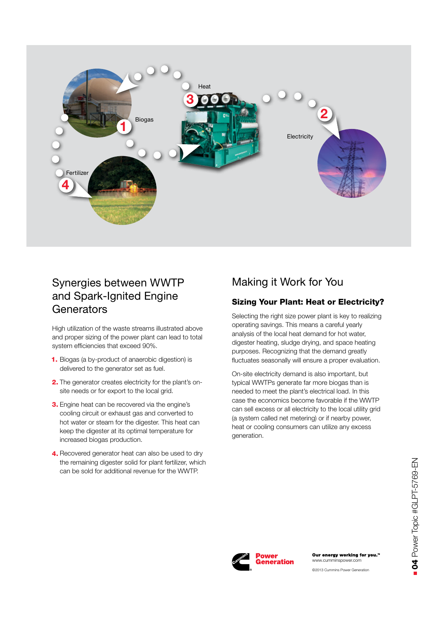

## Synergies between WWTP and Spark-Ignited Engine **Generators**

High utilization of the waste streams illustrated above and proper sizing of the power plant can lead to total system efficiencies that exceed 90%.

- **1.** Biogas (a by-product of anaerobic digestion) is delivered to the generator set as fuel.
- 2. The generator creates electricity for the plant's onsite needs or for export to the local grid.
- **3.** Engine heat can be recovered via the engine's cooling circuit or exhaust gas and converted to hot water or steam for the digester. This heat can keep the digester at its optimal temperature for increased biogas production.
- 4. Recovered generator heat can also be used to dry the remaining digester solid for plant fertilizer, which can be sold for additional revenue for the WWTP.

### Making it Work for You

### Sizing Your Plant: Heat or Electricity?

Selecting the right size power plant is key to realizing operating savings. This means a careful yearly analysis of the local heat demand for hot water, digester heating, sludge drying, and space heating purposes. Recognizing that the demand greatly fluctuates seasonally will ensure a proper evaluation.

On-site electricity demand is also important, but typical WWTPs generate far more biogas than is needed to meet the plant's electrical load. In this case the economics become favorable if the WWTP can sell excess or all electricity to the local utility grid (a system called net metering) or if nearby power, heat or cooling consumers can utilize any excess generation.

> www.cumminspower.com ©2013 Cummins Power Generation

Our energy working for you."

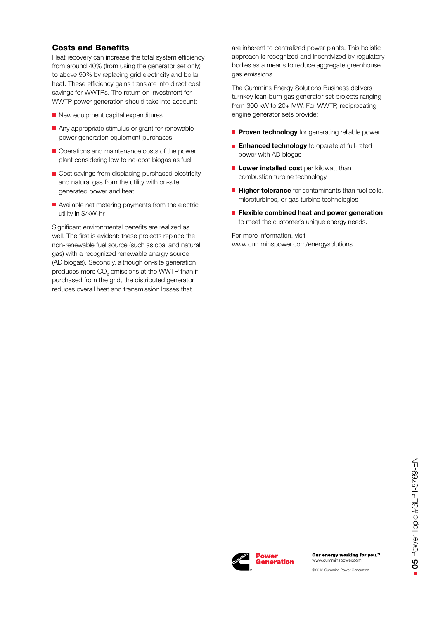#### Costs and Benefits

Heat recovery can increase the total system efficiency from around 40% (from using the generator set only) to above 90% by replacing grid electricity and boiler heat. These efficiency gains translate into direct cost savings for WWTPs. The return on investment for WWTP power generation should take into account:

- New equipment capital expenditures
- $\blacksquare$  Any appropriate stimulus or grant for renewable power generation equipment purchases
- Operations and maintenance costs of the power plant considering low to no-cost biogas as fuel
- Cost savings from displacing purchased electricity and natural gas from the utility with on-site generated power and heat
- Available net metering payments from the electric utility in \$/kW-hr

Significant environmental benefits are realized as well. The first is evident: these projects replace the non-renewable fuel source (such as coal and natural gas) with a recognized renewable energy source (AD biogas). Secondly, although on-site generation produces more  $\mathsf{CO}_2$  emissions at the WWTP than if purchased from the grid, the distributed generator reduces overall heat and transmission losses that

are inherent to centralized power plants. This holistic approach is recognized and incentivized by regulatory bodies as a means to reduce aggregate greenhouse gas emissions.

The Cummins Energy Solutions Business delivers turnkey lean-burn gas generator set projects ranging from 300 kW to 20+ MW. For WWTP, reciprocating engine generator sets provide:

- **Proven technology** for generating reliable power
- **Enhanced technology** to operate at full-rated power with AD biogas
- **Lower installed cost** per kilowatt than combustion turbine technology
- **Higher tolerance** for contaminants than fuel cells, microturbines, or gas turbine technologies
- **Flexible combined heat and power generation** to meet the customer's unique energy needs.

For more information, visit www.cumminspower.com/energysolutions.



©2013 Cummins Power Generation